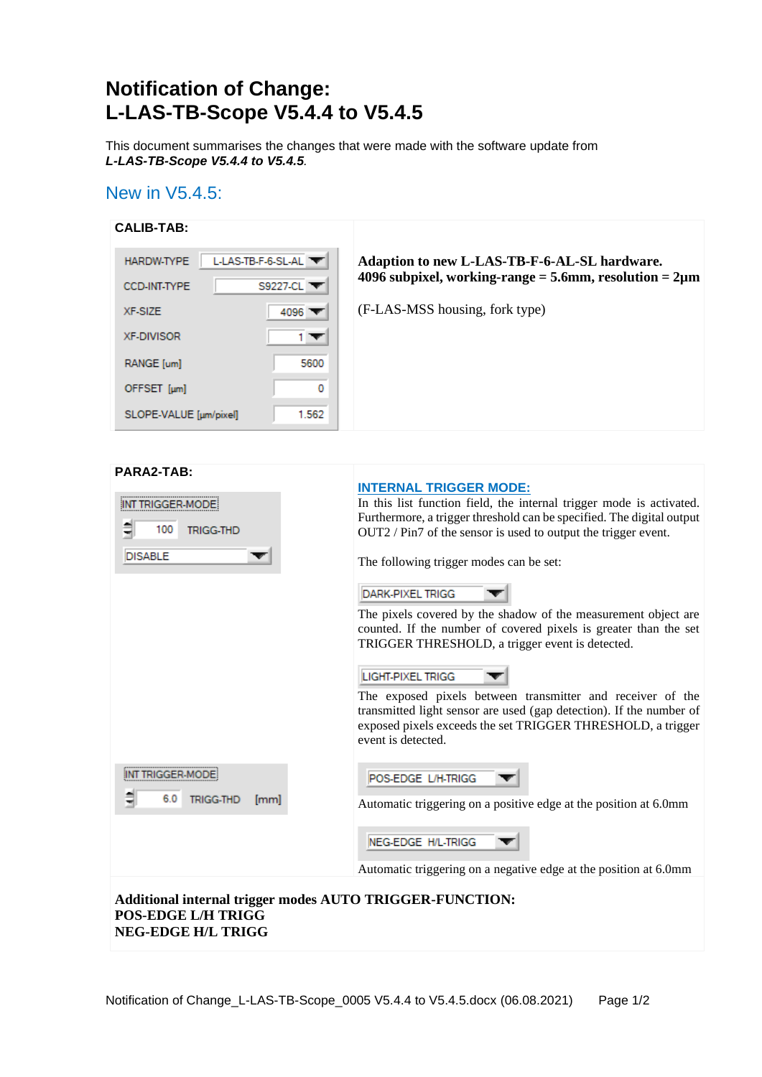# **Notification of Change: L-LAS-TB-Scope V5.4.4 to V5.4.5**

This document summarises the changes that were made with the software update from *L-LAS-TB-Scope V5.4.4 to V5.4.5.*

## New in V5.4.5:

| <b>CALIB-TAB:</b>      |                     |                                                                |
|------------------------|---------------------|----------------------------------------------------------------|
| <b>HARDW-TYPE</b>      | $LLAS-TB-F-6-SL-AL$ | Adaption to new L-LAS-TB-F-6-AL-SL hardware.                   |
| <b>CCD-INT-TYPE</b>    | S9227-CL V          | 4096 subpixel, working-range = $5.6$ mm, resolution = $2\mu$ m |
| XF-SIZE                | 4096 $\top$         | (F-LAS-MSS housing, fork type)                                 |
| <b>XF-DIVISOR</b>      | 1 ▼                 |                                                                |
| RANGE [um]             | 5600                |                                                                |
| OFFSET [µm]            | 0                   |                                                                |
| SLOPE-VALUE [um/pixel] | 1.562               |                                                                |

| PARA2-TAB:                                                                                                         | <b>INTERNAL TRIGGER MODE:</b>                                                                                                                                                                                          |  |
|--------------------------------------------------------------------------------------------------------------------|------------------------------------------------------------------------------------------------------------------------------------------------------------------------------------------------------------------------|--|
| TRIGGER-MODE<br>100<br><b>TRIGG-THD</b>                                                                            | In this list function field, the internal trigger mode is activated.<br>Furthermore, a trigger threshold can be specified. The digital output<br>$OUT2 / Pin7$ of the sensor is used to output the trigger event.      |  |
| <b>DISABLE</b>                                                                                                     | The following trigger modes can be set:                                                                                                                                                                                |  |
|                                                                                                                    | <b>DARK-PIXEL TRIGG</b>                                                                                                                                                                                                |  |
|                                                                                                                    | The pixels covered by the shadow of the measurement object are<br>counted. If the number of covered pixels is greater than the set<br>TRIGGER THRESHOLD, a trigger event is detected.                                  |  |
|                                                                                                                    | <b>LIGHT-PIXEL TRIGG</b>                                                                                                                                                                                               |  |
|                                                                                                                    | The exposed pixels between transmitter and receiver of the<br>transmitted light sensor are used (gap detection). If the number of<br>exposed pixels exceeds the set TRIGGER THRESHOLD, a trigger<br>event is detected. |  |
| <b>TRIGGER-MODE</b>                                                                                                | POS-EDGE L/H-TRIGG                                                                                                                                                                                                     |  |
| 6.0<br><b>TRIGG-THD</b><br>[mm]                                                                                    | Automatic triggering on a positive edge at the position at 6.0mm                                                                                                                                                       |  |
|                                                                                                                    | NEG-EDGE H/L-TRIGG                                                                                                                                                                                                     |  |
|                                                                                                                    | Automatic triggering on a negative edge at the position at 6.0mm                                                                                                                                                       |  |
| Additional internal trigger modes AUTO TRIGGER-FUNCTION:<br><b>POS-EDGE L/H TRIGG</b><br><b>NEG-EDGE H/L TRIGG</b> |                                                                                                                                                                                                                        |  |